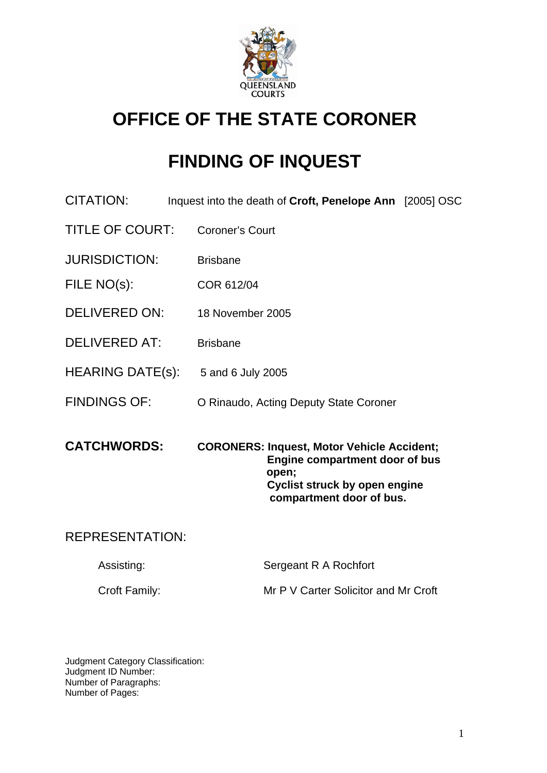

# **OFFICE OF THE STATE CORONER**

# **FINDING OF INQUEST**

- CITATION: Inquest into the death of **Croft, Penelope Ann** [2005] OSC
- TITLE OF COURT: Coroner's Court
- JURISDICTION: Brisbane
- FILE NO(s): COR 612/04
- DELIVERED ON: 18 November 2005
- DELIVERED AT: Brisbane
- HEARING DATE(s): 5 and 6 July 2005
- FINDINGS OF: O Rinaudo, Acting Deputy State Coroner
- **CATCHWORDS: CORONERS: Inquest, Motor Vehicle Accident; Engine compartment door of bus open; Cyclist struck by open engine compartment door of bus.**

# REPRESENTATION:

| Assisting:           | Sergeant R A Rochfort                |
|----------------------|--------------------------------------|
| <b>Croft Family:</b> | Mr P V Carter Solicitor and Mr Croft |

Judgment Category Classification: Judgment ID Number: Number of Paragraphs: Number of Pages: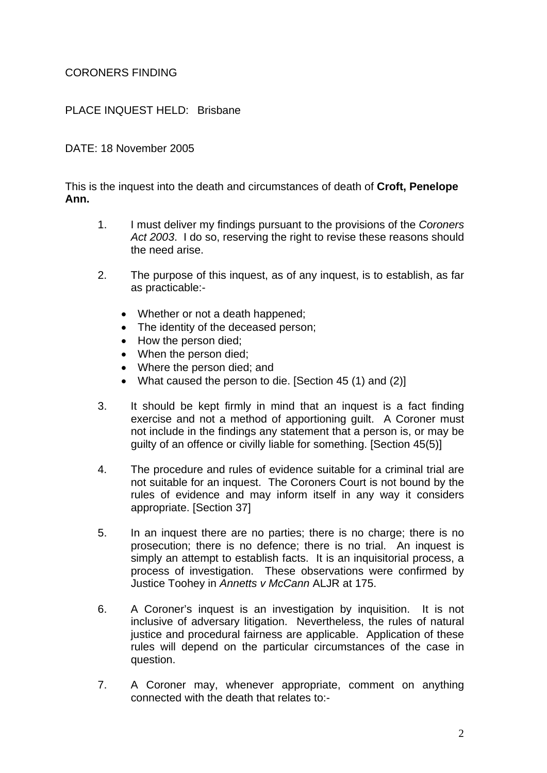# CORONERS FINDING

# PLACE INQUEST HELD: Brisbane

#### DATE: 18 November 2005

This is the inquest into the death and circumstances of death of **Croft, Penelope Ann.** 

- 1. I must deliver my findings pursuant to the provisions of the *Coroners Act 2003*. I do so, reserving the right to revise these reasons should the need arise.
- 2. The purpose of this inquest, as of any inquest, is to establish, as far as practicable:-
	- Whether or not a death happened;
	- The identity of the deceased person;
	- How the person died;
	- When the person died;
	- Where the person died; and
	- What caused the person to die. [Section 45 (1) and (2)]
- 3. It should be kept firmly in mind that an inquest is a fact finding exercise and not a method of apportioning guilt. A Coroner must not include in the findings any statement that a person is, or may be guilty of an offence or civilly liable for something. [Section 45(5)]
- 4. The procedure and rules of evidence suitable for a criminal trial are not suitable for an inquest. The Coroners Court is not bound by the rules of evidence and may inform itself in any way it considers appropriate. [Section 37]
- 5. In an inquest there are no parties; there is no charge; there is no prosecution; there is no defence; there is no trial. An inquest is simply an attempt to establish facts. It is an inquisitorial process, a process of investigation. These observations were confirmed by Justice Toohey in *Annetts v McCann* ALJR at 175.
- 6. A Coroner's inquest is an investigation by inquisition. It is not inclusive of adversary litigation. Nevertheless, the rules of natural justice and procedural fairness are applicable. Application of these rules will depend on the particular circumstances of the case in question.
- 7. A Coroner may, whenever appropriate, comment on anything connected with the death that relates to:-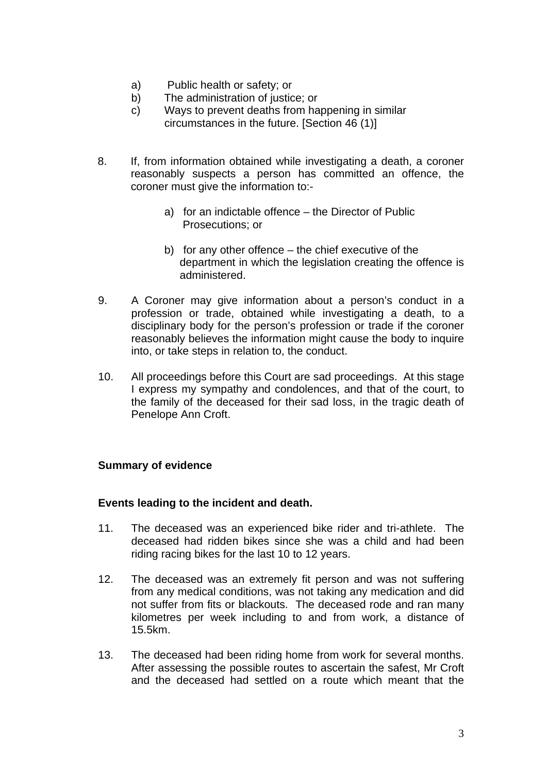- a) Public health or safety; or
- b) The administration of justice; or
- c) Ways to prevent deaths from happening in similar circumstances in the future. [Section 46 (1)]
- 8. If, from information obtained while investigating a death, a coroner reasonably suspects a person has committed an offence, the coroner must give the information to:
	- a) for an indictable offence the Director of Public Prosecutions; or
	- b) for any other offence the chief executive of the department in which the legislation creating the offence is administered.
- 9. A Coroner may give information about a person's conduct in a profession or trade, obtained while investigating a death, to a disciplinary body for the person's profession or trade if the coroner reasonably believes the information might cause the body to inquire into, or take steps in relation to, the conduct.
- 10. All proceedings before this Court are sad proceedings. At this stage I express my sympathy and condolences, and that of the court, to the family of the deceased for their sad loss, in the tragic death of Penelope Ann Croft.

#### **Summary of evidence**

#### **Events leading to the incident and death.**

- 11. The deceased was an experienced bike rider and tri-athlete. The deceased had ridden bikes since she was a child and had been riding racing bikes for the last 10 to 12 years.
- 12. The deceased was an extremely fit person and was not suffering from any medical conditions, was not taking any medication and did not suffer from fits or blackouts. The deceased rode and ran many kilometres per week including to and from work, a distance of 15.5km.
- 13. The deceased had been riding home from work for several months. After assessing the possible routes to ascertain the safest, Mr Croft and the deceased had settled on a route which meant that the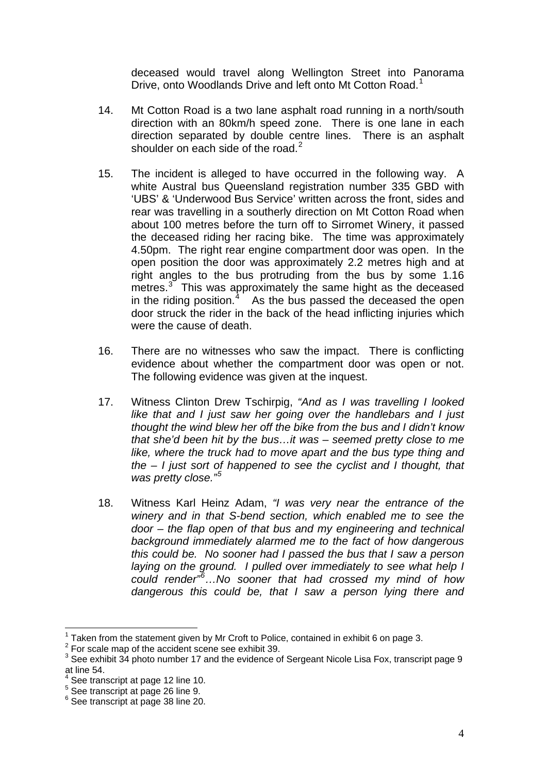deceased would travel along Wellington Street into Panorama Drive, onto Woodlands Drive and left onto Mt Cotton Road.<sup>[1](#page-3-0)</sup>

- 14. Mt Cotton Road is a two lane asphalt road running in a north/south direction with an 80km/h speed zone. There is one lane in each direction separated by double centre lines. There is an asphalt shoulder on each side of the road. $2$
- 15. The incident is alleged to have occurred in the following way. A white Austral bus Queensland registration number 335 GBD with 'UBS' & 'Underwood Bus Service' written across the front, sides and rear was travelling in a southerly direction on Mt Cotton Road when about 100 metres before the turn off to Sirromet Winery, it passed the deceased riding her racing bike. The time was approximately 4.50pm. The right rear engine compartment door was open. In the open position the door was approximately 2.2 metres high and at right angles to the bus protruding from the bus by some 1.16 metres.<sup>[3](#page-3-2)</sup> This was approximately the same hight as the deceased in the riding position. $4$  As the bus passed the deceased the open door struck the rider in the back of the head inflicting injuries which were the cause of death.
- 16. There are no witnesses who saw the impact. There is conflicting evidence about whether the compartment door was open or not. The following evidence was given at the inquest.
- 17. Witness Clinton Drew Tschirpig, *"And as I was travelling I looked like that and I just saw her going over the handlebars and I just thought the wind blew her off the bike from the bus and I didn't know that she'd been hit by the bus…it was – seemed pretty close to me like, where the truck had to move apart and the bus type thing and the – I just sort of happened to see the cyclist and I thought, that was pretty close."[5](#page-3-4)*
- 18. Witness Karl Heinz Adam, *"I was very near the entrance of the winery and in that S-bend section, which enabled me to see the door – the flap open of that bus and my engineering and technical background immediately alarmed me to the fact of how dangerous this could be. No sooner had I passed the bus that I saw a person laying on the ground. I pulled over immediately to see what help I could render"[6](#page-3-5) …No sooner that had crossed my mind of how dangerous this could be, that I saw a person lying there and*

Taken from the statement given by Mr Croft to Police, contained in exhibit 6 on page 3.

<span id="page-3-1"></span><span id="page-3-0"></span><sup>&</sup>lt;sup>2</sup> For scale map of the accident scene see exhibit 39.

<span id="page-3-2"></span> $3$  See exhibit 34 photo number 17 and the evidence of Sergeant Nicole Lisa Fox, transcript page 9 at line 54.

<span id="page-3-3"></span><sup>4</sup> See transcript at page 12 line 10.

<span id="page-3-4"></span><sup>5</sup> See transcript at page 26 line 9.

<span id="page-3-5"></span><sup>6</sup> See transcript at page 38 line 20.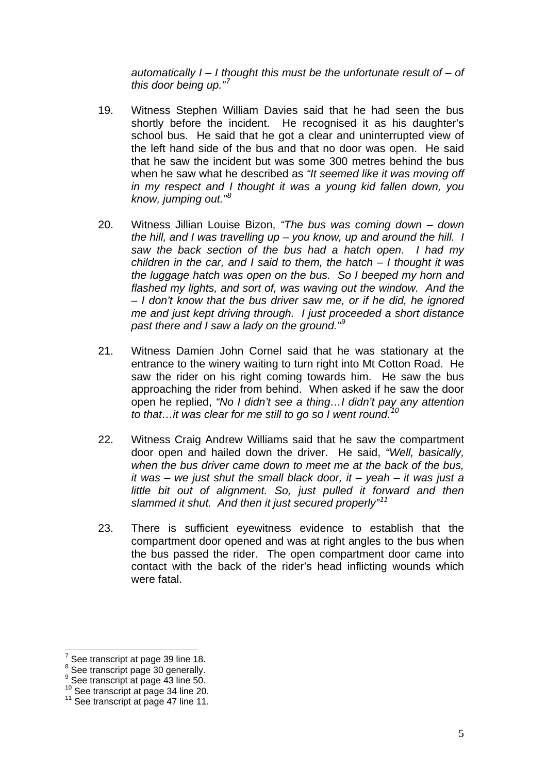*automatically I – I thought this must be the unfortunate result of – of this door being up."[7](#page-4-0)*

- 19. Witness Stephen William Davies said that he had seen the bus shortly before the incident. He recognised it as his daughter's school bus. He said that he got a clear and uninterrupted view of the left hand side of the bus and that no door was open. He said that he saw the incident but was some 300 metres behind the bus when he saw what he described as *"It seemed like it was moving off in my respect and I thought it was a young kid fallen down, you know, jumping out."[8](#page-4-1)*
- 20. Witness Jillian Louise Bizon, *"The bus was coming down down the hill, and I was travelling up – you know, up and around the hill. I saw the back section of the bus had a hatch open. I had my children in the car, and I said to them, the hatch – I thought it was the luggage hatch was open on the bus. So I beeped my horn and flashed my lights, and sort of, was waving out the window. And the – I don't know that the bus driver saw me, or if he did, he ignored me and just kept driving through. I just proceeded a short distance past there and I saw a lady on the ground."[9](#page-4-2)*
- 21. Witness Damien John Cornel said that he was stationary at the entrance to the winery waiting to turn right into Mt Cotton Road. He saw the rider on his right coming towards him. He saw the bus approaching the rider from behind. When asked if he saw the door open he replied, *"No I didn't see a thing…I didn't pay any attention to that…it was clear for me still to go so I went round.[10](#page-4-3)*
- 22. Witness Craig Andrew Williams said that he saw the compartment door open and hailed down the driver. He said, *"Well, basically, when the bus driver came down to meet me at the back of the bus, it was – we just shut the small black door, it – yeah – it was just a little bit out of alignment. So, just pulled it forward and then slammed it shut. And then it just secured properly"[11](#page-4-4)*
- 23. There is sufficient eyewitness evidence to establish that the compartment door opened and was at right angles to the bus when the bus passed the rider. The open compartment door came into contact with the back of the rider's head inflicting wounds which were fatal.

<u>.</u>

<span id="page-4-0"></span><sup>7</sup> See transcript at page 39 line 18.

<span id="page-4-1"></span><sup>&</sup>lt;sup>8</sup> See transcript page 30 generally.

<sup>&</sup>lt;sup>9</sup> See transcript at page 43 line 50.

<span id="page-4-3"></span><span id="page-4-2"></span> $10^{10}$  See transcript at page 34 line 20.<br> $11$  See transcript at page 47 line 11.

<span id="page-4-4"></span>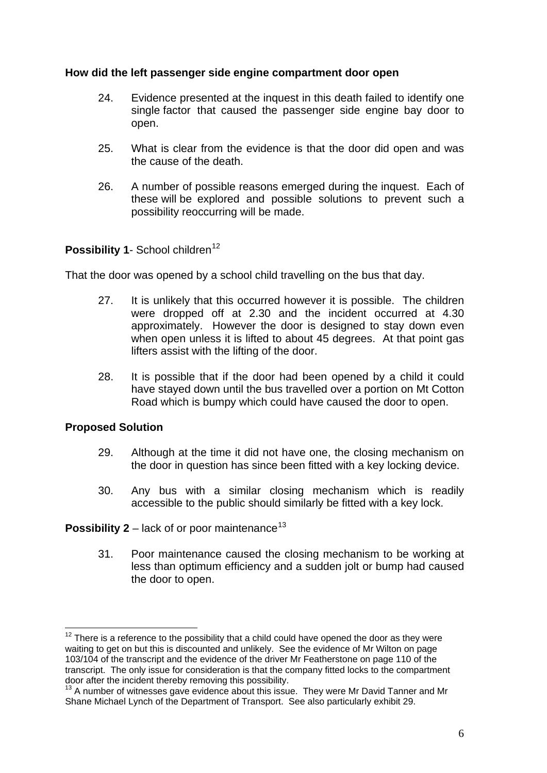# **How did the left passenger side engine compartment door open**

- 24. Evidence presented at the inquest in this death failed to identify one single factor that caused the passenger side engine bay door to open.
- 25. What is clear from the evidence is that the door did open and was the cause of the death.
- 26. A number of possible reasons emerged during the inquest. Each of these will be explored and possible solutions to prevent such a possibility reoccurring will be made.

# **Possibility 1- School children<sup>[12](#page-5-0)</sup>**

That the door was opened by a school child travelling on the bus that day.

- 27. It is unlikely that this occurred however it is possible. The children were dropped off at 2.30 and the incident occurred at 4.30 approximately. However the door is designed to stay down even when open unless it is lifted to about 45 degrees. At that point gas lifters assist with the lifting of the door.
- 28. It is possible that if the door had been opened by a child it could have stayed down until the bus travelled over a portion on Mt Cotton Road which is bumpy which could have caused the door to open.

#### **Proposed Solution**

1

- 29. Although at the time it did not have one, the closing mechanism on the door in question has since been fitted with a key locking device.
- 30. Any bus with a similar closing mechanism which is readily accessible to the public should similarly be fitted with a key lock.

## **Possibility 2** – lack of or poor maintenance<sup>[13](#page-5-1)</sup>

31. Poor maintenance caused the closing mechanism to be working at less than optimum efficiency and a sudden jolt or bump had caused the door to open.

<span id="page-5-0"></span> $12$  There is a reference to the possibility that a child could have opened the door as they were waiting to get on but this is discounted and unlikely. See the evidence of Mr Wilton on page 103/104 of the transcript and the evidence of the driver Mr Featherstone on page 110 of the transcript. The only issue for consideration is that the company fitted locks to the compartment door after the incident thereby removing this possibility.

<span id="page-5-1"></span><sup>&</sup>lt;sup>13</sup> A number of witnesses gave evidence about this issue. They were Mr David Tanner and Mr Shane Michael Lynch of the Department of Transport. See also particularly exhibit 29.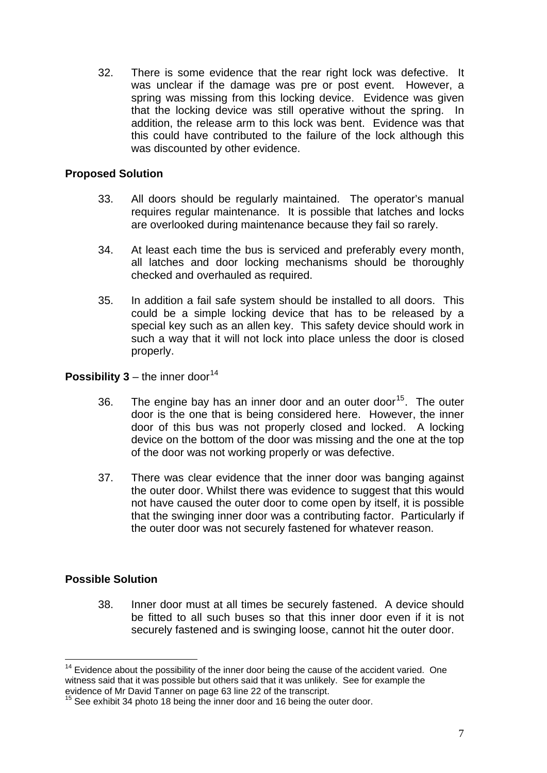32. There is some evidence that the rear right lock was defective. It was unclear if the damage was pre or post event. However, a spring was missing from this locking device. Evidence was given that the locking device was still operative without the spring. In addition, the release arm to this lock was bent. Evidence was that this could have contributed to the failure of the lock although this was discounted by other evidence.

## **Proposed Solution**

- 33. All doors should be regularly maintained. The operator's manual requires regular maintenance. It is possible that latches and locks are overlooked during maintenance because they fail so rarely.
- 34. At least each time the bus is serviced and preferably every month, all latches and door locking mechanisms should be thoroughly checked and overhauled as required.
- 35. In addition a fail safe system should be installed to all doors. This could be a simple locking device that has to be released by a special key such as an allen key. This safety device should work in such a way that it will not lock into place unless the door is closed properly.

#### **Possibility 3** – the inner door<sup>[14](#page-6-0)</sup>

- 36. The engine bay has an inner door and an outer door<sup>[15](#page-6-1)</sup>. The outer door is the one that is being considered here. However, the inner door of this bus was not properly closed and locked. A locking device on the bottom of the door was missing and the one at the top of the door was not working properly or was defective.
- 37. There was clear evidence that the inner door was banging against the outer door. Whilst there was evidence to suggest that this would not have caused the outer door to come open by itself, it is possible that the swinging inner door was a contributing factor. Particularly if the outer door was not securely fastened for whatever reason.

#### **Possible Solution**

38. Inner door must at all times be securely fastened. A device should be fitted to all such buses so that this inner door even if it is not securely fastened and is swinging loose, cannot hit the outer door.

<span id="page-6-0"></span><sup>1</sup>  $14$  Evidence about the possibility of the inner door being the cause of the accident varied. One witness said that it was possible but others said that it was unlikely. See for example the evidence of Mr David Tanner on page 63 line 22 of the transcript.

<span id="page-6-1"></span><sup>&</sup>lt;sup>15</sup> See exhibit 34 photo 18 being the inner door and 16 being the outer door.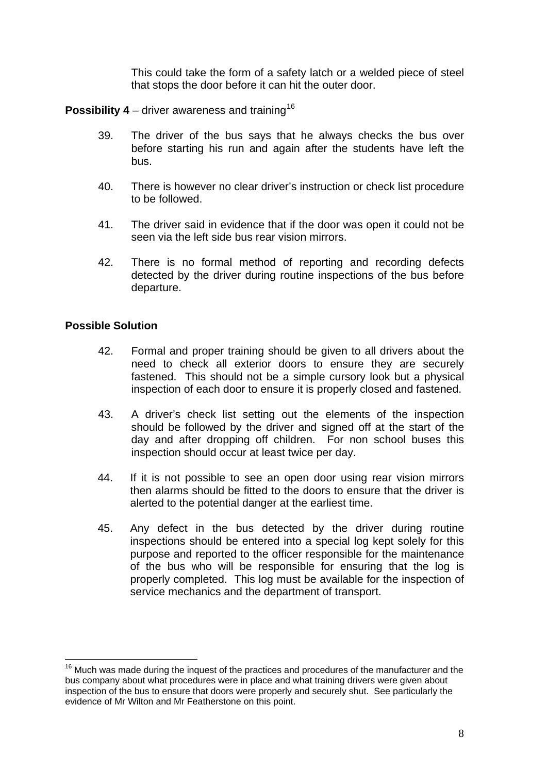This could take the form of a safety latch or a welded piece of steel that stops the door before it can hit the outer door.

**Possibility 4** – driver awareness and training<sup>[16](#page-7-0)</sup>

- 39. The driver of the bus says that he always checks the bus over before starting his run and again after the students have left the bus.
- 40. There is however no clear driver's instruction or check list procedure to be followed.
- 41. The driver said in evidence that if the door was open it could not be seen via the left side bus rear vision mirrors.
- 42. There is no formal method of reporting and recording defects detected by the driver during routine inspections of the bus before departure.

#### **Possible Solution**

1

- 42. Formal and proper training should be given to all drivers about the need to check all exterior doors to ensure they are securely fastened. This should not be a simple cursory look but a physical inspection of each door to ensure it is properly closed and fastened.
- 43. A driver's check list setting out the elements of the inspection should be followed by the driver and signed off at the start of the day and after dropping off children. For non school buses this inspection should occur at least twice per day.
- 44. If it is not possible to see an open door using rear vision mirrors then alarms should be fitted to the doors to ensure that the driver is alerted to the potential danger at the earliest time.
- 45. Any defect in the bus detected by the driver during routine inspections should be entered into a special log kept solely for this purpose and reported to the officer responsible for the maintenance of the bus who will be responsible for ensuring that the log is properly completed. This log must be available for the inspection of service mechanics and the department of transport.

<span id="page-7-0"></span> $16$  Much was made during the inquest of the practices and procedures of the manufacturer and the bus company about what procedures were in place and what training drivers were given about inspection of the bus to ensure that doors were properly and securely shut. See particularly the evidence of Mr Wilton and Mr Featherstone on this point.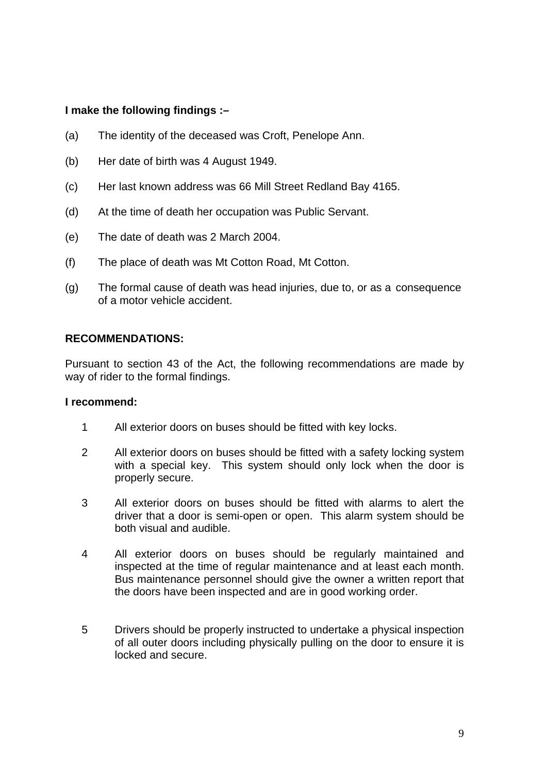# **I make the following findings :–**

- (a) The identity of the deceased was Croft, Penelope Ann.
- (b) Her date of birth was 4 August 1949.
- (c) Her last known address was 66 Mill Street Redland Bay 4165.
- (d) At the time of death her occupation was Public Servant.
- (e) The date of death was 2 March 2004.
- (f) The place of death was Mt Cotton Road, Mt Cotton.
- (g) The formal cause of death was head injuries, due to, or as a consequence of a motor vehicle accident.

#### **RECOMMENDATIONS:**

Pursuant to section 43 of the Act, the following recommendations are made by way of rider to the formal findings.

#### **I recommend:**

- 1 All exterior doors on buses should be fitted with key locks.
- 2 All exterior doors on buses should be fitted with a safety locking system with a special key. This system should only lock when the door is properly secure.
- 3 All exterior doors on buses should be fitted with alarms to alert the driver that a door is semi-open or open. This alarm system should be both visual and audible.
- 4 All exterior doors on buses should be regularly maintained and inspected at the time of regular maintenance and at least each month. Bus maintenance personnel should give the owner a written report that the doors have been inspected and are in good working order.
- 5 Drivers should be properly instructed to undertake a physical inspection of all outer doors including physically pulling on the door to ensure it is locked and secure.